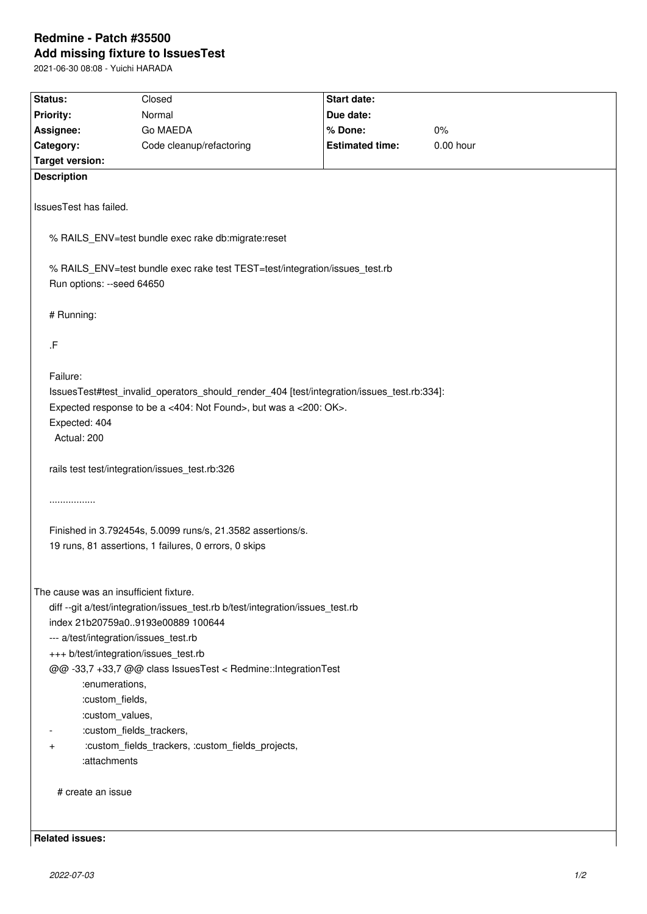## **Redmine - Patch #35500 Add missing fixture to IssuesTest**

2021-06-30 08:08 - Yuichi HARADA

| Status:                                                                                                  | Closed                   | Start date:            |             |
|----------------------------------------------------------------------------------------------------------|--------------------------|------------------------|-------------|
| <b>Priority:</b>                                                                                         | Normal                   | Due date:              |             |
| Assignee:                                                                                                | Go MAEDA                 | % Done:                | 0%          |
| Category:                                                                                                | Code cleanup/refactoring | <b>Estimated time:</b> | $0.00$ hour |
| <b>Target version:</b>                                                                                   |                          |                        |             |
| <b>Description</b>                                                                                       |                          |                        |             |
|                                                                                                          |                          |                        |             |
| IssuesTest has failed.                                                                                   |                          |                        |             |
|                                                                                                          |                          |                        |             |
| % RAILS_ENV=test bundle exec rake db:migrate:reset                                                       |                          |                        |             |
|                                                                                                          |                          |                        |             |
| % RAILS_ENV=test bundle exec rake test TEST=test/integration/issues_test.rb<br>Run options: --seed 64650 |                          |                        |             |
|                                                                                                          |                          |                        |             |
| # Running:                                                                                               |                          |                        |             |
|                                                                                                          |                          |                        |             |
| .F                                                                                                       |                          |                        |             |
|                                                                                                          |                          |                        |             |
| Failure:                                                                                                 |                          |                        |             |
| IssuesTest#test_invalid_operators_should_render_404 [test/integration/issues_test.rb:334]:               |                          |                        |             |
| Expected response to be a <404: Not Found>, but was a <200: OK>.                                         |                          |                        |             |
| Expected: 404                                                                                            |                          |                        |             |
| Actual: 200                                                                                              |                          |                        |             |
|                                                                                                          |                          |                        |             |
| rails test test/integration/issues_test.rb:326                                                           |                          |                        |             |
|                                                                                                          |                          |                        |             |
| .                                                                                                        |                          |                        |             |
|                                                                                                          |                          |                        |             |
| Finished in 3.792454s, 5.0099 runs/s, 21.3582 assertions/s.                                              |                          |                        |             |
| 19 runs, 81 assertions, 1 failures, 0 errors, 0 skips                                                    |                          |                        |             |
|                                                                                                          |                          |                        |             |
| The cause was an insufficient fixture.                                                                   |                          |                        |             |
| diff --git a/test/integration/issues_test.rb b/test/integration/issues_test.rb                           |                          |                        |             |
| index 21b20759a09193e00889 100644                                                                        |                          |                        |             |
| --- a/test/integration/issues test.rb                                                                    |                          |                        |             |
| +++ b/test/integration/issues_test.rb                                                                    |                          |                        |             |
| @@-33,7 +33,7 @@ class IssuesTest < Redmine::IntegrationTest                                             |                          |                        |             |
| :enumerations,                                                                                           |                          |                        |             |
| :custom_fields,                                                                                          |                          |                        |             |
| :custom_values,                                                                                          |                          |                        |             |
| :custom_fields_trackers,                                                                                 |                          |                        |             |
| :custom_fields_trackers, :custom_fields_projects,<br>$\ddot{}$                                           |                          |                        |             |
| :attachments                                                                                             |                          |                        |             |
|                                                                                                          |                          |                        |             |
| # create an issue                                                                                        |                          |                        |             |
|                                                                                                          |                          |                        |             |
|                                                                                                          |                          |                        |             |
| <b>Related issues:</b>                                                                                   |                          |                        |             |